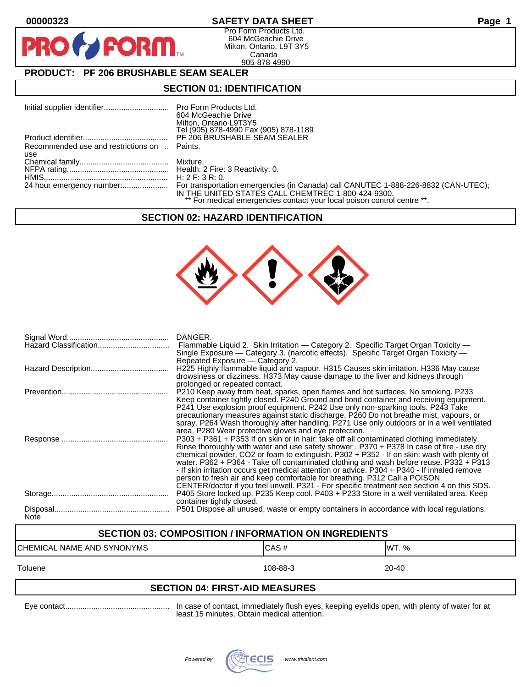## **00000323 SAFETY DATA SHEET Page 1**

Pro Form Products Ltd. 604 McGeachie Drive Milton, Ontario, L9T 3Y5 Canada 905-878-4990

# **PRODUCT: PF 206 BRUSHABLE SEAM SEALER**

**FORM** 

## **SECTION 01: IDENTIFICATION**

|                                              | 604 McGeachie Drive<br>Milton, Ontario L9T3Y5<br>Tel (905) 878-4990 Fax (905) 878-1189                                        |
|----------------------------------------------|-------------------------------------------------------------------------------------------------------------------------------|
|                                              | PF 206 BRUSHABLE SEAM SEALER                                                                                                  |
| Recommended use and restrictions on  Paints. |                                                                                                                               |
| use                                          |                                                                                                                               |
|                                              |                                                                                                                               |
|                                              |                                                                                                                               |
|                                              |                                                                                                                               |
|                                              | IN THE UNITED STATES CALL CHEMTREC 1-800-424-9300.<br>** For medical emergencies contact your local poison control centre **. |

## **SECTION 02: HAZARD IDENTIFICATION**



|             | DANGER.<br>Flammable Liquid 2. Skin Irritation — Category 2. Specific Target Organ Toxicity —<br>Single Exposure - Category 3. (narcotic effects). Specific Target Organ Toxicity -<br>Repeated Exposure – Category 2.                                                                                                                                                                                                                                                                                                                                                                                                                                    |
|-------------|-----------------------------------------------------------------------------------------------------------------------------------------------------------------------------------------------------------------------------------------------------------------------------------------------------------------------------------------------------------------------------------------------------------------------------------------------------------------------------------------------------------------------------------------------------------------------------------------------------------------------------------------------------------|
|             | H225 Highly flammable liquid and vapour. H315 Causes skin irritation. H336 May cause<br>drowsiness or dizziness. H373 May cause damage to the liver and kidneys through<br>prolonged or repeated contact.                                                                                                                                                                                                                                                                                                                                                                                                                                                 |
|             | P210 Keep away from heat, sparks, open flames and hot surfaces. No smoking. P233<br>Keep container tightly closed. P240 Ground and bond container and receiving equipment.<br>P241 Use explosion proof equipment. P242 Use only non-sparking tools. P243 Take<br>precautionary measures against static discharge. P260 Do not breathe mist, vapours, or<br>spray. P264 Wash thoroughly after handling. P271 Use only outdoors or in a well ventilated<br>area. P280 Wear protective gloves and eye protection.                                                                                                                                            |
|             | P303 + P361 + P353 If on skin or in hair: take off all contaminated clothing immediately.<br>Rinse thoroughly with water and use safety shower . P370 + P378 In case of fire - use dry<br>chemical powder, CO2 or foam to extinguish. P302 + P352 - If on skin: wash with plenty of<br>water. P362 + P364 - Take off contaminated clothing and wash before reuse. P332 + P313<br>- If skin irritation occurs get medical attention or advice. P304 + P340 - If inhaled remove<br>person to fresh air and keep comfortable for breathing. P312 Call a POISON<br>CENTER/doctor if you feel unwell. P321 - For specific treatment see section 4 on this SDS. |
|             | P405 Store locked up. P235 Keep cool. P403 + P233 Store in a well ventilated area. Keep<br>container tightly closed.                                                                                                                                                                                                                                                                                                                                                                                                                                                                                                                                      |
| <b>Note</b> | P501 Dispose all unused, waste or empty containers in accordance with local regulations.                                                                                                                                                                                                                                                                                                                                                                                                                                                                                                                                                                  |

## **SECTION 03: COMPOSITION / INFORMATION ON INGREDIENTS**

| ICHEMICAL NAME AND<br>SYNONYMS | C A S #<br>UAJ # | <b>WT. %</b> |
|--------------------------------|------------------|--------------|
| Toluene                        | 108-88-3         | 20-40        |

## **SECTION 04: FIRST-AID MEASURES**

Eye contact................................................ In case of contact, immediately flush eyes, keeping eyelids open, with plenty of water for at least 15 minutes. Obtain medical attention.

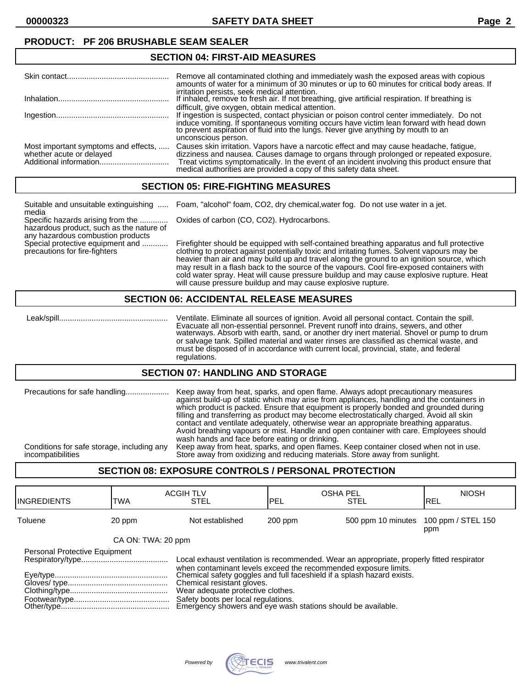**00000323 SAFETY DATA SHEET Page 2**

### **PRODUCT: PF 206 BRUSHABLE SEAM SEALER**

#### **SECTION 04: FIRST-AID MEASURES**

|                                                                  | Remove all contaminated clothing and immediately wash the exposed areas with copious<br>amounts of water for a minimum of 30 minutes or up to 60 minutes for critical body areas. If                                                                                                                                                                |
|------------------------------------------------------------------|-----------------------------------------------------------------------------------------------------------------------------------------------------------------------------------------------------------------------------------------------------------------------------------------------------------------------------------------------------|
|                                                                  | irritation persists, seek medical attention.<br>If inhaled, remove to fresh air. If not breathing, give artificial respiration. If breathing is                                                                                                                                                                                                     |
|                                                                  | difficult, give oxygen, obtain medical attention.<br>If ingestion is suspected, contact physician or poison control center immediately. Do not<br>induce vomiting. If spontaneous vomiting occurs have victim lean forward with head down<br>to prevent aspiration of fluid into the lungs. Never give anything by mouth to an                      |
|                                                                  | unconscious person.                                                                                                                                                                                                                                                                                                                                 |
| Most important symptoms and effects,<br>whether acute or delayed | Causes skin irritation. Vapors have a narcotic effect and may cause headache, fatique,<br>dizziness and nausea. Causes damage to organs through prolonged or repeated exposure.<br>Treat victims symptomatically. In the event of an incident involving this product ensure that medical authorities are provided a copy of this safety data sheet. |

## **SECTION 05: FIRE-FIGHTING MEASURES**

| Suitable and unsuitable extinguishing<br>media                                                                     | Foam, "alcohol" foam, CO2, dry chemical, water fog. Do not use water in a jet.                                                                                                                                                                                                                                                                                                                                                                                                   |
|--------------------------------------------------------------------------------------------------------------------|----------------------------------------------------------------------------------------------------------------------------------------------------------------------------------------------------------------------------------------------------------------------------------------------------------------------------------------------------------------------------------------------------------------------------------------------------------------------------------|
| Specific hazards arising from the<br>hazardous product, such as the nature of<br>any hazardous combustion products | Oxides of carbon (CO, CO2). Hydrocarbons.                                                                                                                                                                                                                                                                                                                                                                                                                                        |
| Special protective equipment and<br>precautions for fire-fighters                                                  | Firefighter should be equipped with self-contained breathing apparatus and full protective<br>clothing to protect against potentially toxic and irritating fumes. Solvent vapours may be<br>heavier than air and may build up and travel along the ground to an ignition source, which<br>may result in a flash back to the source of the vapours. Cool fire-exposed containers with<br>cold water spray. Heat will cause pressure buildup and may cause explosive rupture. Heat |

will cause pressure buildup and may cause explosive rupture.

#### **SECTION 06: ACCIDENTAL RELEASE MEASURES**

 Leak/spill.................................................. Ventilate. Eliminate all sources of ignition. Avoid all personal contact. Contain the spill. Evacuate all non-essential personnel. Prevent runoff into drains, sewers, and other waterways. Absorb with earth, sand, or another dry inert material. Shovel or pump to drum or salvage tank. Spilled material and water rinses are classified as chemical waste, and must be disposed of in accordance with current local, provincial, state, and federal regulations.

#### **SECTION 07: HANDLING AND STORAGE**

| Precautions for safe handling              | Keep away from heat, sparks, and open flame. Always adopt precautionary measures<br>against build-up of static which may arise from appliances, handling and the containers in<br>which product is packed. Ensure that equipment is properly bonded and grounded during<br>filling and transferring as product may become electrostatically charged. Avoid all skin<br>contact and ventilate adequately, otherwise wear an appropriate breathing apparatus.<br>Avoid breathing vapours or mist. Handle and open container with care. Employees should<br>wash hands and face before eating or drinking. |
|--------------------------------------------|---------------------------------------------------------------------------------------------------------------------------------------------------------------------------------------------------------------------------------------------------------------------------------------------------------------------------------------------------------------------------------------------------------------------------------------------------------------------------------------------------------------------------------------------------------------------------------------------------------|
| Conditions for safe storage, including any | Keep away from heat, sparks, and open flames. Keep container closed when not in use.                                                                                                                                                                                                                                                                                                                                                                                                                                                                                                                    |
| incompatibilities                          | Store away from oxidizing and reducing materials. Store away from sunlight.                                                                                                                                                                                                                                                                                                                                                                                                                                                                                                                             |

## **SECTION 08: EXPOSURE CONTROLS / PERSONAL PROTECTION**

| <b>INGREDIENTS</b>            | TWA                | <b>ACGIH TLV</b><br><b>STEL</b>                                                                                                                                                                                                                                                                                                                                                                                  | <b>OSHA PEL</b><br>PEL | <b>STEL</b>                           | <b>NIOSH</b><br>IREL |
|-------------------------------|--------------------|------------------------------------------------------------------------------------------------------------------------------------------------------------------------------------------------------------------------------------------------------------------------------------------------------------------------------------------------------------------------------------------------------------------|------------------------|---------------------------------------|----------------------|
| Toluene                       | 20 ppm             | Not established                                                                                                                                                                                                                                                                                                                                                                                                  | $200$ ppm              | 500 ppm 10 minutes 100 ppm / STEL 150 | ppm                  |
|                               | CA ON: TWA: 20 ppm |                                                                                                                                                                                                                                                                                                                                                                                                                  |                        |                                       |                      |
| Personal Protective Equipment |                    | Local exhaust ventilation is recommended. Wear an appropriate, properly fitted respirator<br>when contaminant levels exceed the recommended exposure limits.<br>Chemical safety goggles and full faceshield if a splash hazard exists.<br>Chemical resistant gloves.<br>Wear adequate protective clothes.<br>Safety boots per local regulations.<br>Emergency showers and eye wash stations should be available. |                        |                                       |                      |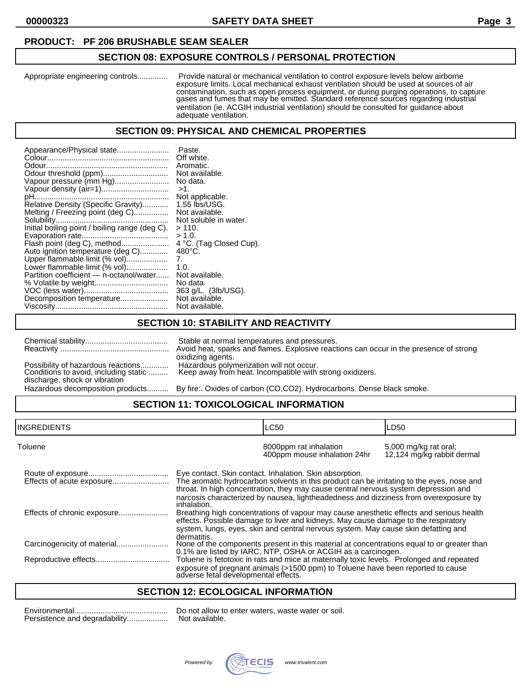## **PRODUCT: PF 206 BRUSHABLE SEAM SEALER**

## **SECTION 08: EXPOSURE CONTROLS / PERSONAL PROTECTION**

Appropriate engineering controls.............. Provide natural or mechanical ventilation to control exposure levels below airborne exposure limits. Local mechanical exhaust ventilation should be used at sources of air contamination, such as open process equipment, or during purging operations, to capture gases and fumes that may be emitted. Standard reference sources regarding industrial ventilation (ie. ACGIH industrial ventilation) should be consulted for guidance about adequate ventilation.

#### **SECTION 09: PHYSICAL AND CHEMICAL PROPERTIES**

| Appearance/Physical state                      | Paste.<br>Off white.    |
|------------------------------------------------|-------------------------|
|                                                | Aromatic.               |
| Odour threshold (ppm)                          | Not available.          |
| Vapour pressure (mm Hg)                        | No data.                |
| Vapour density (air=1)                         | $>1$ .                  |
|                                                | Not applicable.         |
| Relative Density (Specific Gravity)            | $1.55$ lbs/USG.         |
| Melting / Freezing point (deg C)               | Not available.          |
|                                                | Not soluble in water.   |
| Initial boiling point / boiling range (deg C). | >110.                   |
|                                                | > 1.0.                  |
| Flash point (deg C), method                    | 4 °C. (Tag Closed Cup). |
| Auto ignition temperature (deg C)              | $480^{\circ}$ C.        |
| Upper flammable limit (% vol)                  | 7.                      |
| Lower flammable limit (% vol)                  | 1. $0.$                 |
| Partition coefficient - n-octanol/water        | Not available.          |
|                                                | No data.                |
|                                                | 363 g/L. (3lb/USG).     |
| Decomposition temperature                      | Not available.          |
|                                                | Not available.          |
|                                                |                         |

## **SECTION 10: STABILITY AND REACTIVITY**

| oxidizing agents.                                                                                                                  |                                    | Stable at normal temperatures and pressures.<br>Avoid heat, sparks and flames. Explosive reactions can occur in the presence of strong |
|------------------------------------------------------------------------------------------------------------------------------------|------------------------------------|----------------------------------------------------------------------------------------------------------------------------------------|
|                                                                                                                                    |                                    |                                                                                                                                        |
| Keep away from heat. Incompatible with strong oxidizers.<br>Conditions to avoid, including static<br>discharge, shock or vibration | Possibility of hazardous reactions | Hazardous polymerization will not occur.                                                                                               |

Hazardous decomposition products.......... By fire:. Oxides of carbon (CO,CO2). Hydrocarbons. Dense black smoke.

## **SECTION 11: TOXICOLOGICAL INFORMATION**

| <b>INGREDIENTS</b>        |                                      | <b>LC50</b>                                                                                                                                                                                                                                                                                                                         | LD50                                                |
|---------------------------|--------------------------------------|-------------------------------------------------------------------------------------------------------------------------------------------------------------------------------------------------------------------------------------------------------------------------------------------------------------------------------------|-----------------------------------------------------|
| Toluene                   |                                      | 8000ppm rat inhalation<br>400ppm mouse inhalation 24hr                                                                                                                                                                                                                                                                              | 5,000 mg/kg rat oral;<br>12,124 mg/kg rabbit dermal |
| Effects of acute exposure | inhalation.                          | Eye contact. Skin contact. Inhalation. Skin absorption.<br>The aromatic hydrocarbon solvents in this product can be irritating to the eyes, nose and<br>throat. In high concentration, they may cause central nervous system depression and<br>narcosis characterized by nausea, lightheadedness and dizziness from overexposure by |                                                     |
|                           | dermatitis.                          | Breathing high concentrations of vapour may cause anesthetic effects and serious health<br>effects. Possible damage to liver and kidneys. May cause damage to the respiratory<br>system, lungs, eyes, skin and central nervous system. May cause skin defatting and                                                                 |                                                     |
|                           |                                      | None of the components present in this material at concentrations equal to or greater than<br>0.1% are listed by IARC, NTP, OSHA or ACGIH as a carcinogen.                                                                                                                                                                          |                                                     |
|                           | adverse fetal developmental effects. | Toluene is fetotoxic in rats and mice at maternally toxic levels. Prolonged and repeated<br>exposure of pregnant animals (>1500 ppm) to Toluene have been reported to cause                                                                                                                                                         |                                                     |

## **SECTION 12: ECOLOGICAL INFORMATION**